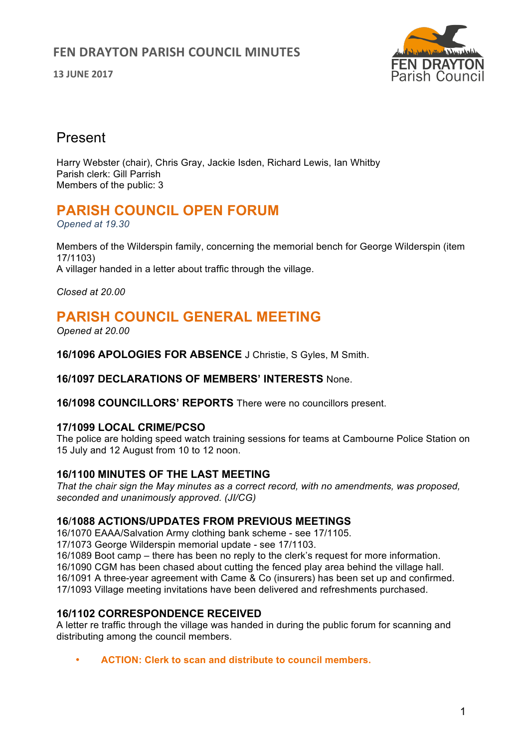# **FEN DRAYTON PARISH COUNCIL MINUTES**

**13 JUNE 2017**



# Present

Harry Webster (chair), Chris Gray, Jackie Isden, Richard Lewis, Ian Whitby Parish clerk: Gill Parrish Members of the public: 3

# **PARISH COUNCIL OPEN FORUM**

*Opened at 19.30*

Members of the Wilderspin family, concerning the memorial bench for George Wilderspin (item 17/1103)

A villager handed in a letter about traffic through the village.

*Closed at 20.00*

# **PARISH COUNCIL GENERAL MEETING**

*Opened at 20.00*

**16/1096 APOLOGIES FOR ABSENCE** J Christie, S Gyles, M Smith.

### **16/1097 DECLARATIONS OF MEMBERS' INTERESTS** None.

**16/1098 COUNCILLORS' REPORTS** There were no councillors present.

### **17/1099 LOCAL CRIME/PCSO**

The police are holding speed watch training sessions for teams at Cambourne Police Station on 15 July and 12 August from 10 to 12 noon.

### **16/1100 MINUTES OF THE LAST MEETING**

*That the chair sign the May minutes as a correct record, with no amendments, was proposed, seconded and unanimously approved. (JI/CG)*

### **16**/**1088 ACTIONS/UPDATES FROM PREVIOUS MEETINGS**

16/1070 EAAA/Salvation Army clothing bank scheme - see 17/1105.

17/1073 George Wilderspin memorial update - see 17/1103.

16/1089 Boot camp – there has been no reply to the clerk's request for more information.

16/1090 CGM has been chased about cutting the fenced play area behind the village hall.

16/1091 A three-year agreement with Came & Co (insurers) has been set up and confirmed. 17/1093 Village meeting invitations have been delivered and refreshments purchased.

### **16/1102 CORRESPONDENCE RECEIVED**

A letter re traffic through the village was handed in during the public forum for scanning and distributing among the council members.

• **ACTION: Clerk to scan and distribute to council members.**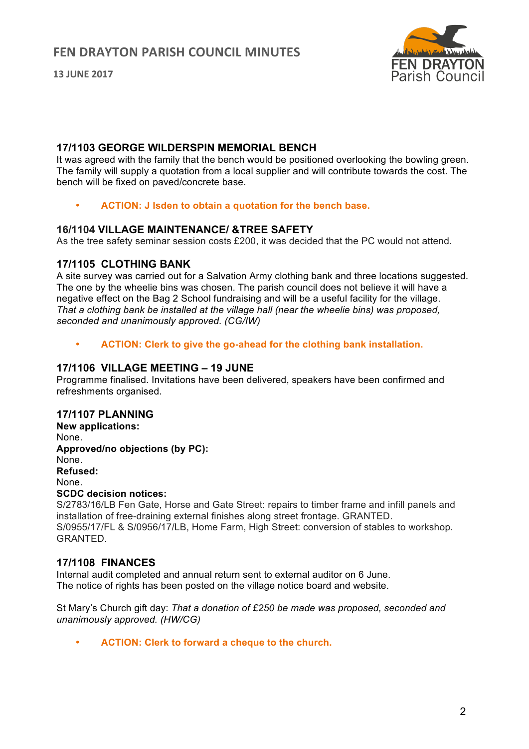**13 JUNE 2017**



#### **17/1103 GEORGE WILDERSPIN MEMORIAL BENCH**

It was agreed with the family that the bench would be positioned overlooking the bowling green. The family will supply a quotation from a local supplier and will contribute towards the cost. The bench will be fixed on paved/concrete base.

• **ACTION: J Isden to obtain a quotation for the bench base.**

#### **16/1104 VILLAGE MAINTENANCE/ &TREE SAFETY**

As the tree safety seminar session costs £200, it was decided that the PC would not attend.

#### **17/1105 CLOTHING BANK**

A site survey was carried out for a Salvation Army clothing bank and three locations suggested. The one by the wheelie bins was chosen. The parish council does not believe it will have a negative effect on the Bag 2 School fundraising and will be a useful facility for the village. *That a clothing bank be installed at the village hall (near the wheelie bins) was proposed, seconded and unanimously approved. (CG/IW)*

• **ACTION: Clerk to give the go-ahead for the clothing bank installation.**

### **17/1106 VILLAGE MEETING – 19 JUNE**

Programme finalised. Invitations have been delivered, speakers have been confirmed and refreshments organised.

#### **17/1107 PLANNING**

**New applications:** None. **Approved/no objections (by PC):** None. **Refused:** None. **SCDC decision notices:** 

S/2783/16/LB Fen Gate, Horse and Gate Street: repairs to timber frame and infill panels and installation of free-draining external finishes along street frontage. GRANTED. S/0955/17/FL & S/0956/17/LB, Home Farm, High Street: conversion of stables to workshop. GRANTED.

#### **17/1108 FINANCES**

Internal audit completed and annual return sent to external auditor on 6 June. The notice of rights has been posted on the village notice board and website.

St Mary's Church gift day: *That a donation of £250 be made was proposed, seconded and unanimously approved. (HW/CG)*

• **ACTION: Clerk to forward a cheque to the church.**